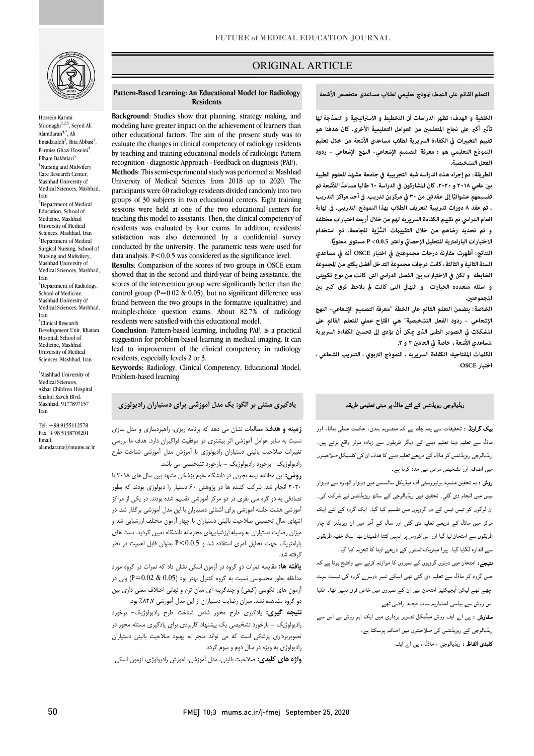

Hossein Karimi Moonaghi<sup>1,2,3</sup>, Seyed Ali Alamdaran $4,$ \*, Ali Emadzadeh<sup>3</sup>, Bita Abbasi<sup>4</sup>, Parmiss Ghazi Hoseini<sup>4</sup>, Elham Bakhtiari<sup>5</sup> <sup>1</sup>Nursing and Midwifery Care Research Center, Mashhad University of Medical Sciences, Mashhad, Iran <sup>2</sup>Department of Medical Education, School of Medicine, Mashhad University of Medical Sciences, Mashhad, Iran <sup>3</sup>Department of Medical Surgical Nursing, School of Nursing and Midwifery, Mashhad University of Medical Sciences, Mashhad, Iran 4 Department of Radiology, School of Medicine, Mashhad University of

Medical Sciences, Mashhad, Iran 5 Clinical Research Development Unit, Khatam Hospital, School of Medicine, Mashhad University of Medical Sciences, Mashhad, Iran

\* Mashhad University of Medical Sciences, Akbar Children Hospital Shahid Kaveh Blvd. Mashhad, 9177897157 Iran

Tel: +98 9155112578 Fax: +98 5138709201 Email: alamdarana@mums.ac.ir

# ORIGINAL ARTICLE

**التعلم القائم على النمط: وذج تعليمي لطلاب مساعدی متخصص الأشعة**

ص

 **الخلفية و الهدف: تظهر الدراسات أن التخطيط و الاستراتيجية و النمذجة لها تأث أكبر على نجاح المتعلم من العوامل التعليمية الأخرى. كان هدفنا هو النموذج التعليمي هو : معرفة التصميم الإشعاعي- النهج الإشعاعي – ردود تقييم التغيات في الكفاءة السريرية لطلاب مساعدي الأشعة من خلال تعليم الفعل التشخيصية.**

 **الطريقة: تم إجراء هذه الدراسة شبه التجريبية في جامعة مشهد للعلوم الطبية ب عامي ٢٠١٨و .٢٠٢٠ كان المشاركون في الدراسة ٦٠ ً طالبا مساعدا للأشعة تم تقسيمهم عشوائي ٣٠ في مركزين تدريب. في أحد مراكز التدريب ًا إلى عقدت من ، تم عقد ٨ دورات تدريبية لتعريف الطلاب بهذا النموذج التدريبي. في نهاية ِّ ِّ و تم تحديد رضاهم من خلال التقييت السرية للجامعة. تم استخدام**  .<br>الاختبارات البارامترية للتحليل الإحصائي واعتبر 0.0.5> P مستوى معنويًا. **العام الدراسي تم تقييم الكفاءة السريرية لهم من خلال أربعة اختبارات مختلفة** 

 **النتائج: أظهرت مقارنة درجات مجموعت في اختبار OSCE أنه في مساعدي**  السنة الثانية و الثالثة ، كانت درجات مجموعة التدخل أفضل بكثير من المجموعة الضابطة و لكن في الاختبارات بين الفصل الدراسي التی كانت من نوع تكوينی و اسئله متعدده الخيارات و النهائي التی کانت لم يلاحظ فرق کب<u>ر</u> بين **المجموعت.**

 **الخلاصة: يتضمن التعلم القائم على الخطة "معرفة التصميم الإشعاعي- النهج الإشعاعي – ردود الفعل التشخيصية" هي اقتراح عملي للتعلم القائم على المشكلات في التصوير الطبي الذي كن أن يؤدي إلى تحس الكفاءة السريرية لمساعدي الأشعة ، خاصة في العام ٢ و .٣** 

 **الكلت المفتاحية: الكفاءة السريرية ، النموذج التربوي ، التدريب الشعاعي ، اختبار OSCE**

# ریڈیالوجی ریزیڈنٹس کے لئے ماڈل پر مبنی تعلیمی طریقہ

**یپک گراونڈ :** تحقیقات سے پتہ چلتا ہے کہ منصوبہ بندی، حکمت عملی بنانا، اور<br>۔ ماڈل سے تعلیم دینا تعلیم دینے کے دیگر طریقوں سے زیادہ موثر واقع ہوتے ہیں۔ <sub>ن</sub>یڈیالوجی ریزیڈنٹس کو ماڈل کے ذریعے تعلیم دینے کا ھدف ان کی کلینیکل صلاحیتوں<br>۔ میں اضافہ اور تشخیص مرض میں مدد کرنا ہے۔

ر**وش :** یہ تحقیق مشہد یونیورسٹی آف میڈیکل سائنسس میں دوہزار اٹھارہ سے دوہزار یس میں انجام دی گئي۔ تحقیق میں ریڈیالوجی کے ساٹھ ریزیڈنٹس نے شرکت کی۔ ان لوگوں کو تیس تیس کے دو گروہوں میں تقسیم کیا گیا۔ ایک گروہ کے لئے ایک مرکز میں ماڈل کے ذریعے تعلیم دی گئی اور سال کے آخر میں ان ریزیڈنز کا چار لحریقوں سے امتحان لیا گیا اور اس کورس پر انہیں کتنا اطمینان تھا اسکا خفیہ طریقوں سے اندازہ لگایا گیا۔ پیرا میٹریک ٹسٹوں کے ذریعے ڈیٹا کا تجزیہ کیا گیا۔

**تیجے:** امتحان میں دونوں گروپوں کے نمبروں کا موازنہ کرنے سے واضح ہوتا ہے کہ جس گروہ کو ماڈل سے تعلیم دی گئي تھی اسکے نمبر دوسرے گروہ کی نسبت بہت ۔<br>چھے تھے لیکن آبجیکٹیو امتحان میں ان کے نمبروں میں خاص فرق نہیں تھا۔ طلبا اس روش سے بیاسی اعشاریہ سات فیصد راضی تھے ۔

**سفارش :** پی ا<sub>ے</sub> ایف روش میڈیکل تصویر برداری میں ایک اہم روش ہے اس سے ریڈیالوجی کے ریزیڈنٹس کی صلاحیتوں میں اضافہ ہوسکتا ہے۔

**دلیدی الفاظ :** ریڈیالوجی ، ماڈل ، پی ا<sub>ے</sub> ایف

i

#### **Pattern-Based Learning: An Educational Model for Radiology Residents**

modeling have greater impact on the achievement of learners than modeling have greater impact on the achievement of learners than other educational factors. The aim of the present study was to evaluate the changes in clinical competency of radiology residents recognition - diagnostic Approach - Feedback on diagnosis (PAF). **Methods**: This semi-experimental study was performed at Mashhad **Background**: Studies show that planning, strategy making, and by teaching and training educational models of radiologic Pattern

 participants were 60 radiology residents divided randomly into two groups of 30 subjects in two educational centers. Eight training sessions were held at one of the two educational centers for residents was evaluated by four exams. In addition, residents' satisfaction was also determined by a confidential survey conducted by the university. The parametric tests were used for  $\frac{1}{2}$  to exclude the similar density in  $\frac{1}{2}$ University of Medical Sciences from 2018 up to 2020. The teaching this model to assistants. Then, the clinical competency of data analysis. P<0.0.5 was considered as the significance level.

 **Results**: Comparison of the scores of two groups in OSCE exam showed that in the second and third-year of being assistance, the control group  $(P=0.02 \& 0.05)$ , but no significant difference was found between the two groups in the formative (qualitative) and multiple-choice question exams. About 62.7%<br>residents were satisfied with this educational model. scores of the intervention group were significantly better than the multiple-choice question exams. About 82.7% of radiology

 **Conclusion**: Pattern-based learning, including PAF, is a practical suggestion for problem-based learning in medical imaging. It can lead to improvement of the clinical competency in radiology<br>residents especially levels 2 or 3 residents, especially levels 2 or 3.

 **Keywords:** Radiology, Clinical Competency, Educational Model, Problem-based learning

#### **یادگیري مبتنی بر الگو: یک مدل آموزشی براي دستیاران رادیولوژي**

 **زمینه و هدف:** مطالعات نشان می دهد که برنامه ریزي، راهبردسازي و مدل سازي Ĭ تغییرات صلاحیت بالینی دستیاران رادیولوژي با آموزش مدل آموزشی شناخت طرح نسبت به سایر عوامل آموزشی اثر بیشتري در موفقیت فراگیران دارد. هدف ما بررسی رادیولوژیک- برخورد رادیولوژیک – بازخورد تشخیصی می باشد.

 **روش:** این مطالعه نیمه تجربی در دانشگاه علوم پزشکی مشهد بین سال هاي 2018 تا 2020 انجام شد. شرکت کننده ها در پژوهش 60 دستیار را دیولوژي بودند که بطور تصادفی به دو گره سی نفري در دو مرکز آموزشی تقسیم شده بودند. در یکی از مراکز آموزشی هشت جلسه آموزشی براي آشنائی دستیاران با این مدل آموزشی برگذار شد. در انتهاي سال تحصیلی صلاحیت بالینی دستیاران با چهار آزمون مختلف ارزشیابی شد و میزان رضایت دستیاران به وسیله ارزشیابیهاي محرمانه دانشگاه تعیین گردید. تست هاي پارامتریک جهت تحلیل آمري استفاده شد و 0.0.5>P بعنوان قابل اهمیت در نظر گرفته شد.

 **یافته ها:** مقایسه نمرات دو گروه در آزمون اسکی نشان داد که نمرات در گروه مورد مداخله بطور محسوسی نسبت به گروه کنترل بهتر بود (0.05 & 0.02=P (ولی در آزمون هاي تکوینی (کیفی) و چندگزینه اي میان ترم و نهائی اختلاف معنی داري بین دو گروه مشاهده نشد. میزان رضایت دستیاران از این مدل آموزشی %82,7 بود.

 **نتیجه گیري:** یادگیري طرح محور شامل شناخت طرح رادیولوژیک- برخورد رادیولوژیک – بازخورد تشخیصی یک پیشنهاد کاربردي براي یادگیري مسئله محور در تصویربرداري پزشکی است که می تواند منجر به بهبود صلاحیت بالینی دستیاران 7 رادیولوژي به ویژه در سال دوم و سوم گردد.

**واژه هاي کلیدي:** صلاحیت بالینی، مدل آموزشی، آموزش رادیولوژي، آزمون اسکی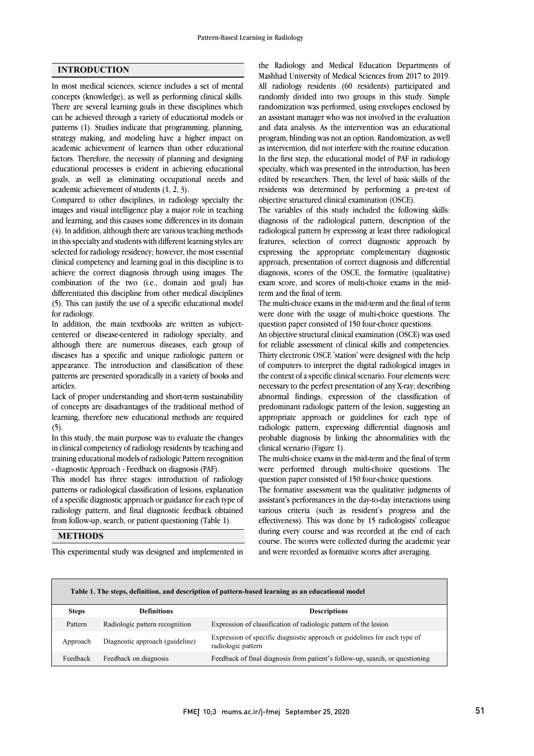#### **INTRODUCTION**

In most medical sciences, science includes a set of mental concepts (knowledge), as well as performing clinical skills. There are several learning goals in these disciplines which can be achieved through a variety of educational models or patterns (1). Studies indicate that programming, planning, strategy making, and modeling have a higher impact on academic achievement of learners than other educational factors. Therefore, the necessity of planning and designing educational processes is evident in achieving educational goals, as well as eliminating occupational needs and academic achievement of students (1, 2, 3).

Compared to other disciplines, in radiology specialty the images and visual intelligence play a major role in teaching and learning, and this causes some differences in its domain (4). In addition, although there are various teaching methods in this specialty and students with different learning styles are selected for radiology residency; however, the most essential clinical competency and learning goal in this discipline is to achieve the correct diagnosis through using images. The combination of the two (i.e., domain and goal) has differentiated this discipline from other medical disciplines (5). This can justify the use of a specific educational model for radiology.

In addition, the main textbooks are written as subjectcentered or disease-centered in radiology specialty, and although there are numerous diseases, each group of diseases has a specific and unique radiologic pattern or appearance. The introduction and classification of these patterns are presented sporadically in a variety of books and articles.

Lack of proper understanding and short-term sustainability of concepts are disadvantages of the traditional method of learning, therefore new educational methods are required  $(5).$ 

In this study, the main purpose was to evaluate the changes in clinical competency of radiology residents by teaching and training educational models of radiologic Pattern recognition - diagnostic Approach - Feedback on diagnosis (PAF).

This model has three stages: introduction of radiology patterns or radiological classification of lesions, explanation of a specific diagnostic approach or guidance for each type of radiology pattern, and final diagnostic feedback obtained from follow-up, search, or patient questioning (Table 1).

 Mashhad University of Medical Sciences from 2017 to 2019. All radiology residents (60 residents) participated and randomly divided into two groups in this study. Simple randomization was performed, using envelopes enclosed by an assistant manager who was not involved in the evaluation program, blinding was not an option. Randomization, as well as intervention, did not interfere with the routine education. In the first step, the educational model of PAF in radiology edited by researchers. Then, the level of basic skills of the residents was determined by performing a pre-test of objective structured clinical examination (OSCE). the Radiology and Medical Education Departments of and data analysis. As the intervention was an educational specialty, which was presented in the introduction, has been

 The variables of this study included the following skills: radiological pattern by expressing at least three radiological features, selection of correct diagnostic approach by expressing the appropriate complementary diagnostic approach, presentation of correct diagnosis and differential exam score, and scores of multi-choice exams in the mid- term and the final of term. diagnosis of the radiological pattern, description of the diagnosis, scores of the OSCE, the formative (qualitative)

 The multi-choice exams in the mid-term and the final of term were done with the usage of multi-choice questions. The question paper consisted of 150 four-choice questions.

 An objective structural clinical examination (OSCE) was used for reliable assessment of clinical skills and competencies. Thirty electronic OSCE 'station' were designed with the help of computers to interpret the digital radiological images in necessary to the perfect presentation of any X-ray; describing abnormal findings, expression of the classification of predominant radiologic pattern of the lesion, suggesting an appropriate approach or guidelines for each type of probable diagnosis by linking the abnormalities with the clinical scenario (Figure 1). the context of a specific clinical scenario. Four elements were radiologic pattern, expressing differential diagnosis and

 The multi-choice exams in the mid-term and the final of term were performed through multi-choice questions. The question paper consisted of 150 four-choice questions.

 The formative assessment was the qualitative judgments of assistant's performances in the day-to-day interactions using various criteria (such as resident's progress and the effectiveness). This was done by 15 radiologists' colleague course. The scores were collected during the academic year and were recorded as formative scores after averaging. during every course and was recorded at the end of each

# **METHODS**

This experimental study was designed and implemented in

| Table 1. The steps, definition, and description of pattern-based learning as an educational model |                                 |                                                                                                 |  |  |  |  |  |
|---------------------------------------------------------------------------------------------------|---------------------------------|-------------------------------------------------------------------------------------------------|--|--|--|--|--|
| <b>Steps</b>                                                                                      | <b>Definitions</b>              | <b>Descriptions</b>                                                                             |  |  |  |  |  |
| Pattern                                                                                           | Radiologic pattern recognition  | Expression of classification of radiologic pattern of the lesion                                |  |  |  |  |  |
| Approach                                                                                          | Diagnostic approach (guideline) | Expression of specific diagnostic approach or guidelines for each type of<br>radiologic pattern |  |  |  |  |  |
| Feedback                                                                                          | Feedback on diagnosis           | Feedback of final diagnosis from patient's follow-up, search, or questioning                    |  |  |  |  |  |

 $\overline{\phantom{0}}$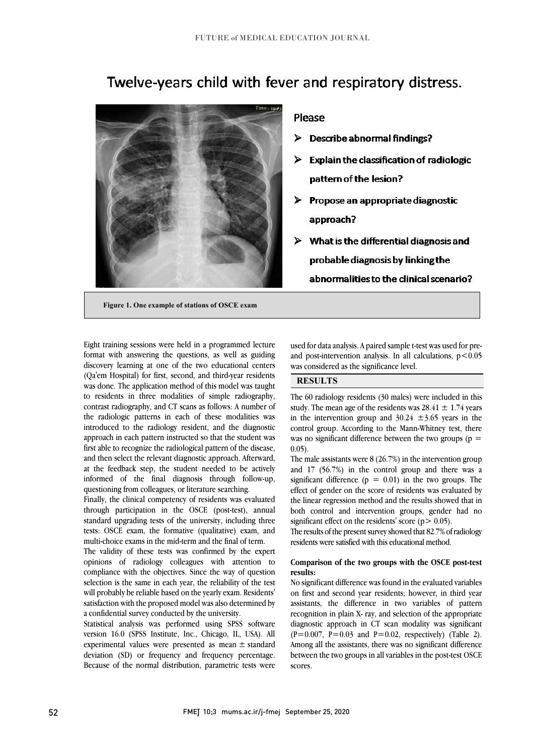# vith fever and respiratory distre:



## **Please**

- $\triangleright$  Describe abnormal findings?
- $\triangleright$  Explain the classification of radiologic pattern of the lesion?
- $\triangleright$  Propose an appropriate diagnostic approach?
- $\triangleright$  What is the differential diagnosis and ۱ abnormalities to the clinical scenario?

ׇ֡֡

L

**Figure 1. One example of stations of OSCE exam**

 $\overline{a}$ 

 Eight training sessions were held in a programmed lecture format with answering the questions, as well as guiding discovery learning at one of the two educational centers was done. The application method of this model was taught to residents in three modalities of simple radiography, contrast radiography, and CT scans as follows: A number of the radiologic patterns in each of these modalities was approach in each pattern instructed so that the student was first able to recognize the radiological pattern of the disease, and then select the relevant diagnostic approach. Afterward, at the feedback step, the student needed to be actively questioning from colleagues, or literature searching. (Qa'em Hospital) for first, second, and third-year residents introduced to the radiology resident, and the diagnostic informed of the final diagnosis through follow-up,

 Finally, the clinical competency of residents was evaluated through participation in the OSCE (post-test), annual standard upgrading tests of the university, including three multi-choice exams in the mid-term and the final of term. tests: OSCE exam, the formative (qualitative) exam, and

 The validity of these tests was confirmed by the expert opinions of radiology colleagues with attention to compliance with the objectives. Since the way of question will probably be reliable based on the yearly exam. Residents' satisfaction with the proposed model was also determined by a confidential survey conducted by the university. selection is the same in each year, the reliability of the test

 Statistical analysis was performed using SPSS software experimental values were presented as mean ± standard deviation (SD) or frequency and frequency percentage. Because of the normal distribution, parametric tests were version 16.0 (SPSS Institute, Inc., Chicago, IL, USA). All

 used for data analysis. A paired sample t-test was used for preand post-intervention analysis. In all calculations, p<0.05 was considered as the significance level.

# **RESULTS**

 The 60 radiology residents (30 males) were included in this study. The mean age of the residents was  $28.41 \pm 1.74$  years in the intervention group and  $30.24 \pm 3.65$  years in the was no significant difference between the two groups ( $p = 0.05$ ) control group. According to the Mann-Whitney test, there 0.05).

 The male assistants were 8 (26.7%) in the intervention group and 17 (56.7%) in the control group and there was a significant difference  $(p = 0.01)$  in the two groups. The the linear regression method and the results showed that in both control and intervention groups, gender had no significant effect on the residents' score ( $p$  > 0.05). effect of gender on the score of residents was evaluated by

 residents were satisfied with this educational method. The results of the present survey showed that 82.7% of radiology

#### **Comparison of the two groups with the OSCE post-test results:**

 on first and second year residents; however, in third year assistants, the difference in two variables of pattern recognition in plain X- ray, and selection of the appropriate diagnostic approach in CT scan modality was significant Among all the assistants, there was no significant difference between the two groups in all variables in the post-test OSCE No significant difference was found in the evaluated variables  $(P=0.007, P=0.03$  and  $P=0.02$ , respectively) (Table 2). scores.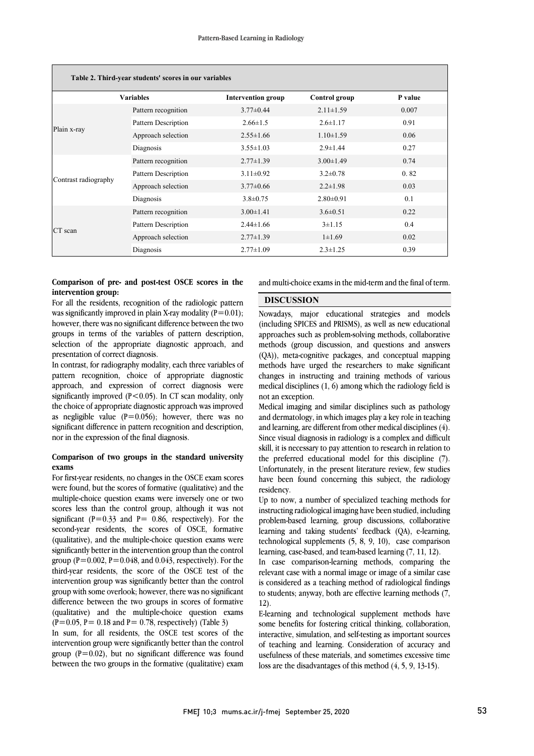| Table 2. Third-year students' scores in our variables |                            |                           |                 |         |  |  |  |  |  |
|-------------------------------------------------------|----------------------------|---------------------------|-----------------|---------|--|--|--|--|--|
| <b>Variables</b>                                      |                            | <b>Intervention group</b> | Control group   | P value |  |  |  |  |  |
|                                                       | Pattern recognition        | $3.77 \pm 0.44$           | $2.11 \pm 1.59$ | 0.007   |  |  |  |  |  |
|                                                       | <b>Pattern Description</b> | $2.66 \pm 1.5$            | $2.6 \pm 1.17$  | 0.91    |  |  |  |  |  |
| Plain x-ray                                           | Approach selection         | $2.55 \pm 1.66$           | $1.10 \pm 1.59$ | 0.06    |  |  |  |  |  |
|                                                       | Diagnosis                  | $3.55 \pm 1.03$           | $2.9 \pm 1.44$  | 0.27    |  |  |  |  |  |
|                                                       | Pattern recognition        | $2.77 \pm 1.39$           | $3.00 \pm 1.49$ | 0.74    |  |  |  |  |  |
|                                                       | Pattern Description        | $3.11 \pm 0.92$           | $3.2 \pm 0.78$  | 0.82    |  |  |  |  |  |
| Contrast radiography                                  | Approach selection         | $3.77 \pm 0.66$           | $2.2 \pm 1.98$  | 0.03    |  |  |  |  |  |
|                                                       | Diagnosis                  | $3.8 \pm 0.75$            | $2.80 \pm 0.91$ | 0.1     |  |  |  |  |  |
|                                                       | Pattern recognition        | $3.00 \pm 1.41$           | $3.6 \pm 0.51$  | 0.22    |  |  |  |  |  |
| CT scan                                               | Pattern Description        | $2.44 \pm 1.66$           | $3 \pm 1.15$    | 0.4     |  |  |  |  |  |
|                                                       | Approach selection         | $2.77 \pm 1.39$           | $1 \pm 1.69$    | 0.02    |  |  |  |  |  |
|                                                       | Diagnosis                  | $2.77 \pm 1.09$           | $2.3 \pm 1.25$  | 0.39    |  |  |  |  |  |

#### **Comparison of pre- and post-test OSCE scores in the intervention group:**

For all the residents, recognition of the radiologic pattern was significantly improved in plain X-ray modality  $(P=0.01)$ : however, there was no significant difference between the two groups in terms of the variables of pattern description, selection of the appropriate diagnostic approach, and presentation of correct diagnosis.

In contrast, for radiography modality, each three variables of pattern recognition, choice of appropriate diagnostic approach, and expression of correct diagnosis were significantly improved  $(P<0.05)$ . In CT scan modality, only the choice of appropriate diagnostic approach was improved as negligible value  $(P=0.056)$ ; however, there was no significant difference in pattern recognition and description, nor in the expression of the final diagnosis.

#### **Comparison of two groups in the standard university exams**

For first-year residents, no changes in the OSCE exam scores were found, but the scores of formative (qualitative) and the multiple-choice question exams were inversely one or two scores less than the control group, although it was not significant ( $P=0.33$  and  $P= 0.86$ , respectively). For the second-year residents, the scores of OSCE, formative (qualitative), and the multiple-choice question exams were significantly better in the intervention group than the control group ( $P=0.002$ ,  $P=0.048$ , and 0.043, respectively). For the third-year residents, the score of the OSCE test of the intervention group was significantly better than the control group with some overlook; however, there was no significant difference between the two groups in scores of formative (qualitative) and the multiple-choice question exams  $(P=0.05, P= 0.18$  and  $P= 0.78$ , respectively) (Table 3)

In sum, for all residents, the OSCE test scores of the intervention group were significantly better than the control group  $(P=0.02)$ , but no significant difference was found between the two groups in the formative (qualitative) exam

 and multi-choice exams in the mid-term and the final of term.  $\overline{a}$ 

## **DISCUSSION**

 Nowadays, major educational strategies and models approaches such as problem-solving methods, collaborative methods (group discussion, and questions and answers (QA)), meta-cognitive packages, and conceptual mapping methods have urged the researchers to make significant medical disciplines (1, 6) among which the radiology field is not an exception. (including SPICES and PRISMS), as well as new educational changes in instructing and training methods of various

 Medical imaging and similar disciplines such as pathology and dermatology, in which images play a key role in teaching Since visual diagnosis in radiology is a complex and difficult skill, it is necessary to pay attention to research in relation to the preferred educational model for this discipline (7). Unfortunately, in the present literature review, few studies residency. and learning, are different from other medical disciplines (4). have been found concerning this subject, the radiology

 Up to now, a number of specialized teaching methods for instructing radiological imaging have been studied, including problem-based learning, group discussions, collaborative learning, case-based, and team-based learning (7, 11, 12). learning and taking students' feedback (QA), e-learning, technological supplements (5, 8, 9, 10), case comparison

 In case comparison-learning methods, comparing the relevant case with a normal image or image of a similar case to students; anyway, both are effective learning methods (7, is considered as a teaching method of radiological findings 12).

 E-learning and technological supplement methods have some benefits for fostering critical thinking, collaboration, interactive, simulation, and self-testing as important sources of teaching and learning. Consideration of accuracy and usefulness of these materials, and sometimes excessive time loss are the disadvantages of this method (4, 5, 9, 13-15).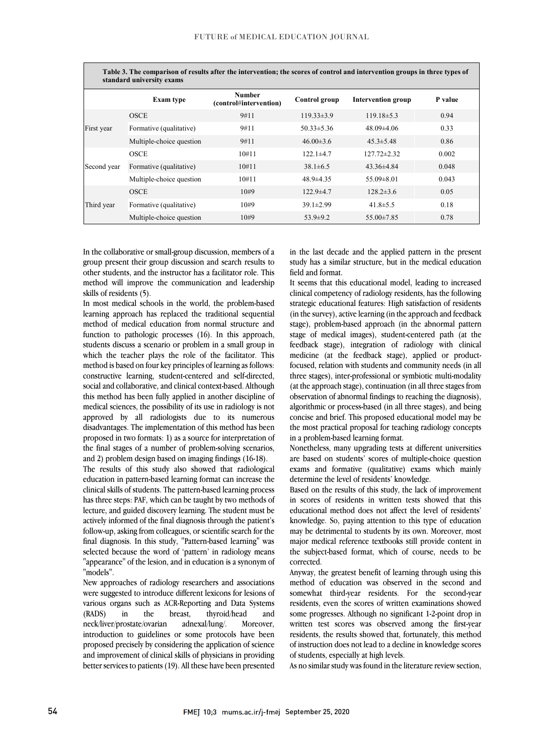| Table 3. The comparison of results after the intervention; the scores of control and intervention groups in three types of<br>standard university exams |                          |                                         |                  |                           |         |  |  |  |
|---------------------------------------------------------------------------------------------------------------------------------------------------------|--------------------------|-----------------------------------------|------------------|---------------------------|---------|--|--|--|
|                                                                                                                                                         | Exam type                | <b>Number</b><br>(control#intervention) | Control group    | <b>Intervention group</b> | P value |  |  |  |
| First year                                                                                                                                              | <b>OSCE</b>              | 9#11                                    | $119.33 \pm 3.9$ | $119.18\pm5.3$            | 0.94    |  |  |  |
|                                                                                                                                                         | Formative (qualitative)  | 9#11                                    | $50.33 \pm 5.36$ | $48.09\pm4.06$            | 0.33    |  |  |  |
|                                                                                                                                                         | Multiple-choice question | 9#11                                    | $46.00\pm3.6$    | $45.3 \pm 5.48$           | 0.86    |  |  |  |
| Second year                                                                                                                                             | <b>OSCE</b>              | 10#11                                   | $122.1 \pm 4.7$  | $127.72 \pm 2.32$         | 0.002   |  |  |  |
|                                                                                                                                                         | Formative (qualitative)  | 10#11                                   | $38.1 \pm 6.5$   | $43.36\pm4.84$            | 0.048   |  |  |  |
|                                                                                                                                                         | Multiple-choice question | 10#11                                   | $48.9 \pm 4.35$  | $55.09 \pm 8.01$          | 0.043   |  |  |  |
| Third year                                                                                                                                              | <b>OSCE</b>              | 10#9                                    | $122.9 \pm 4.7$  | $128.2 \pm 3.6$           | 0.05    |  |  |  |
|                                                                                                                                                         | Formative (qualitative)  | 10#9                                    | $39.1 \pm 2.99$  | $41.8 \pm 5.5$            | 0.18    |  |  |  |
|                                                                                                                                                         | Multiple-choice question | 10#9                                    | $53.9 \pm 9.2$   | $55.00 \pm 7.85$          | 0.78    |  |  |  |

In the collaborative or small-group discussion, members of a group present their group discussion and search results to other students, and the instructor has a facilitator role. This method will improve the communication and leadership skills of residents (5).

In most medical schools in the world, the problem-based learning approach has replaced the traditional sequential method of medical education from normal structure and function to pathologic processes (16). In this approach, students discuss a scenario or problem in a small group in which the teacher plays the role of the facilitator. This method is based on four key principles of learning as follows: constructive learning, student-centered and self-directed, social and collaborative, and clinical context-based. Although this method has been fully applied in another discipline of medical sciences, the possibility of its use in radiology is not approved by all radiologists due to its numerous disadvantages. The implementation of this method has been proposed in two formats: 1) as a source for interpretation of the final stages of a number of problem-solving scenarios, and 2) problem design based on imaging findings (16-18).

The results of this study also showed that radiological education in pattern-based learning format can increase the clinical skills of students. The pattern-based learning process has three steps: PAF, which can be taught by two methods of lecture, and guided discovery learning. The student must be actively informed of the final diagnosis through the patient's follow-up, asking from colleagues, or scientific search for the final diagnosis. In this study, "Pattern-based learning" was selected because the word of 'pattern' in radiology means "appearance" of the lesion, and in education is a synonym of "models".

New approaches of radiology researchers and associations were suggested to introduce different lexicons for lesions of various organs such as ACR-Reporting and Data Systems (RADS) in the breast, thyroid/head and neck/liver/prostate/ovarian adnexal/lung/. Moreover, introduction to guidelines or some protocols have been proposed precisely by considering the application of science and improvement of clinical skills of physicians in providing better services to patients (19). All these have been presented in the last decade and the applied pattern in the present study has a similar structure, but in the medical education field and format.

It seems that this educational model, leading to increased clinical competency of radiology residents, has the following strategic educational features: High satisfaction of residents (in the survey), active learning (in the approach and feedback stage), problem-based approach (in the abnormal pattern stage of medical images), student-centered path (at the feedback stage), integration of radiology with clinical medicine (at the feedback stage), applied or productfocused, relation with students and community needs (in all three stages), inter-professional or symbiotic multi-modality (at the approach stage), continuation (in all three stages from observation of abnormal findings to reaching the diagnosis), algorithmic or process-based (in all three stages), and being concise and brief. This proposed educational model may be the most practical proposal for teaching radiology concepts in a problem-based learning format.

Nonetheless, many upgrading tests at different universities are based on students' scores of multiple-choice question exams and formative (qualitative) exams which mainly determine the level of residents' knowledge.

Based on the results of this study, the lack of improvement in scores of residents in written tests showed that this educational method does not affect the level of residents' knowledge. So, paying attention to this type of education may be detrimental to students by its own. Moreover, most major medical reference textbooks still provide content in the subject-based format, which of course, needs to be corrected.

Anyway, the greatest benefit of learning through using this method of education was observed in the second and somewhat third-year residents. For the second-year residents, even the scores of written examinations showed some progresses. Although no significant 1-2-point drop in written test scores was observed among the first-year residents, the results showed that, fortunately, this method of instruction does not lead to a decline in knowledge scores of students, especially at high levels.

As no similar study was found in the literature review section,